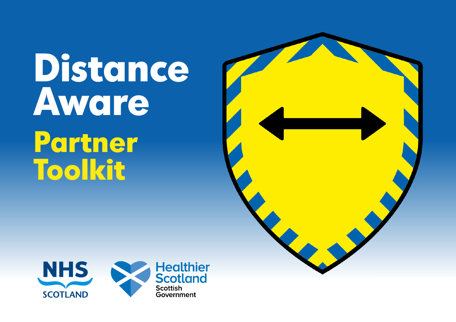# **Distance Aware Partner Toolkit**



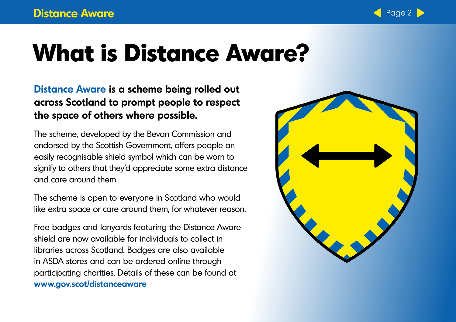

## **What is Distance Aware?**

**[Distance Aware](www.gov.scot/distanceaware) is a scheme being rolled out across Scotland to prompt people to respect the space of others where possible.** 

The scheme, developed by the Bevan Commission and endorsed by the Scottish Government, offers people an easily recognisable shield symbol which can be worn to signify to others that they'd appreciate some extra distance and care around them.

The scheme is open to everyone in Scotland who would like extra space or care around them, for whatever reason.

Free badges and lanyards featuring the Distance Aware shield are now available for individuals to collect in libraries across Scotland. Badges are also available in ASDA stores and can be ordered online through participating charities. Details of these can be found at **[www.gov.scot/distanceaware](http://www.gov.scot/distanceaware)**

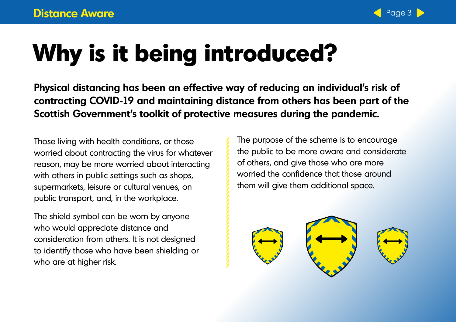

## **Why is it being introduced?**

**Physical distancing has been an effective way of reducing an individual's risk of contracting COVID-19 and maintaining distance from others has been part of the Scottish Government's toolkit of protective measures during the pandemic.** 

Those living with health conditions, or those worried about contracting the virus for whatever reason, may be more worried about interacting with others in public settings such as shops, supermarkets, leisure or cultural venues, on public transport, and, in the workplace.

The shield symbol can be worn by anyone who would appreciate distance and consideration from others. It is not designed to identify those who have been shielding or who are at higher risk.

The purpose of the scheme is to encourage the public to be more aware and considerate of others, and give those who are more worried the confidence that those around them will give them additional space.

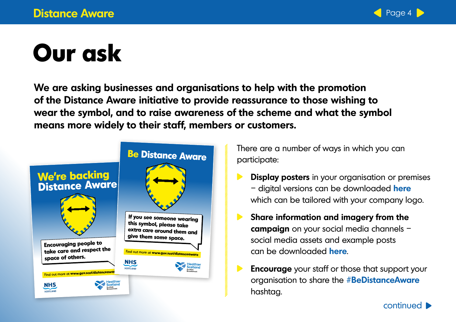

## **Our ask**

**We are asking businesses and organisations to help with the promotion of the Distance Aware initiative to provide reassurance to those wishing to wear the symbol, and to raise awareness of the scheme and what the symbol means more widely to their staff, members or customers.**



There are a number of ways in which you can participate:

- **Display posters** in your organisation or premises – digital versions can be downloaded **[here](https://www.dropbox.com/sh/o5mk7xbuuk0xb8r/AACns_hy0NybBQYLBvY0U_YZa?dl=0)** which can be tailored with your company logo.
- **Share information and imagery from the**   $\blacktriangleright$ **campaign** on your social media channels – social media assets and example posts can be downloaded **[here](https://www.dropbox.com/sh/o5mk7xbuuk0xb8r/AACns_hy0NybBQYLBvY0U_YZa?dl=0)**.
	- **Encourage** your staff or those that support your organisation to share the **#BeDistanceAware**  hashtag.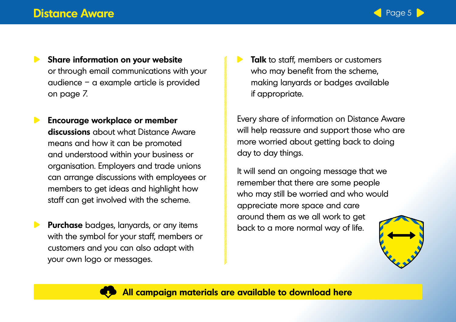

- $\blacktriangleright$ **Share information on your website** or through email communications with your audience – a example article is provided on page 7.
- **Encourage workplace or member discussions** about what Distance Aware means and how it can be promoted and understood within your business or organisation. Employers and trade unions can arrange discussions with employees or members to get ideas and highlight how staff can get involved with the scheme.
- **Purchase** badges, lanyards, or any items with the symbol for your staff, members or customers and you can also adapt with your own logo or messages.

**Talk** to staff, members or customers who may benefit from the scheme, making lanyards or badges available if appropriate.

Every share of information on Distance Aware will help reassure and support those who are more worried about getting back to doing day to day things.

It will send an ongoing message that we remember that there are some people who may still be worried and who would appreciate more space and care around them as we all work to get back to a more normal way of life.



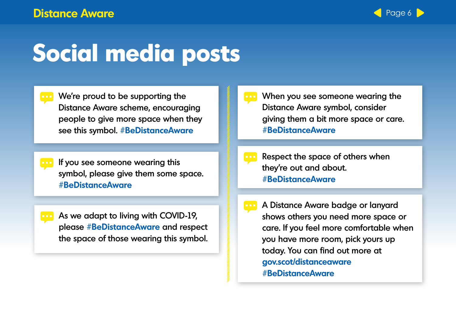

### **Social media posts**

- We're proud to be supporting the Distance Aware scheme, encouraging people to give more space when they see this symbol. **#BeDistanceAware**
- If you see someone wearing this symbol, please give them some space. **#BeDistanceAware**
- As we adapt to living with COVID-19, please **#BeDistanceAware** and respect the space of those wearing this symbol.
- When you see someone wearing the Distance Aware symbol, consider giving them a bit more space or care. **#BeDistanceAware**
- Respect the space of others when they're out and about. **#BeDistanceAware**
- A Distance Aware badge or lanyard shows others you need more space or care. If you feel more comfortable when you have more room, pick yours up today. You can find out more at **gov.scot/distanceaware #BeDistanceAware**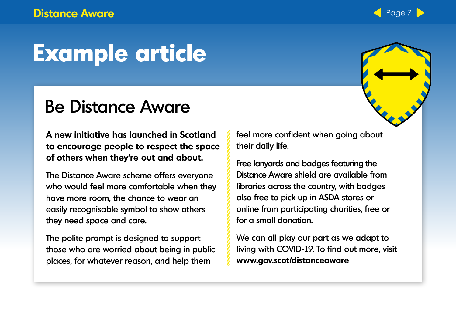#### **Distance Aware 2008 and 2009 and 2009 and 2009 and 2009 and 2009 and 2009 and 2009 and 2009 and 2009 and 2009 and 2009 and 2009 and 2009 and 2009 and 2009 and 2009 and 2009 and 2009 and 2009 and 2009 and 2009 and 2009 and**

## **Example article**

#### Be Distance Aware

**A new initiative has launched in Scotland to encourage people to respect the space of others when they're out and about.**

The Distance Aware scheme offers everyone who would feel more comfortable when they have more room, the chance to wear an easily recognisable symbol to show others they need space and care.

The polite prompt is designed to support those who are worried about being in public places, for whatever reason, and help them

feel more confident when going about their daily life.

Free lanyards and badges featuring the Distance Aware shield are available from libraries across the country, with badges also free to pick up in ASDA stores or online from participating charities, free or for a small donation.

We can all play our part as we adapt to living with COVID-19. To find out more, visit **www.gov.scot/distanceaware**